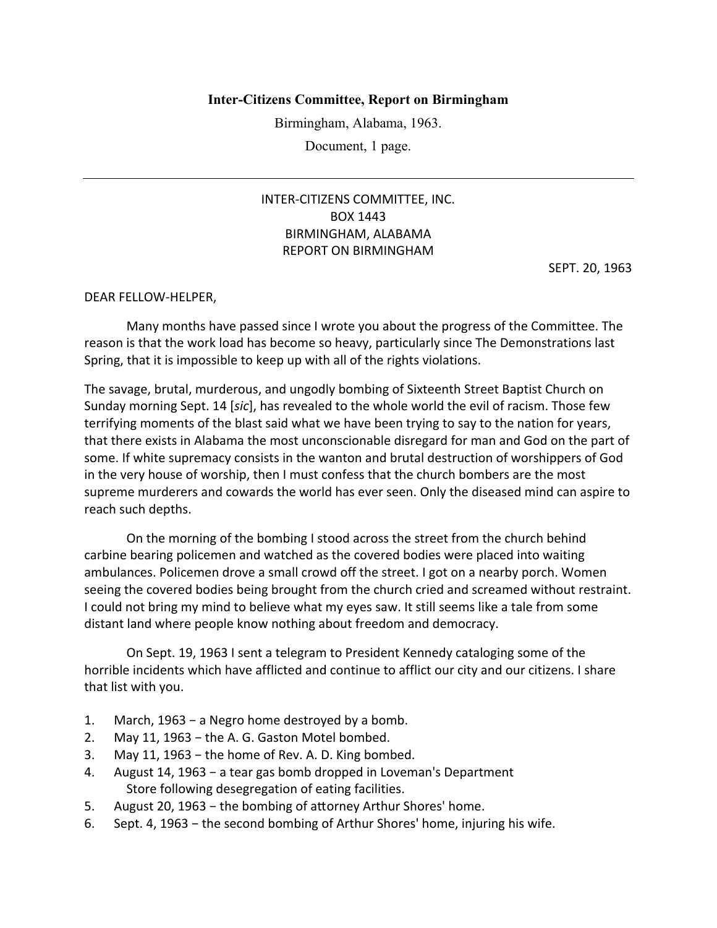## **Inter-Citizens Committee, Report on Birmingham**

Birmingham, Alabama, 1963.

Document, 1 page.

## INTER‐CITIZENS COMMITTEE, INC. BOX 1443 BIRMINGHAM, ALABAMA REPORT ON BIRMINGHAM

SEPT. 20, 1963

## DEAR FELLOW‐HELPER,

Many months have passed since I wrote you about the progress of the Committee. The reason is that the work load has become so heavy, particularly since The Demonstrations last Spring, that it is impossible to keep up with all of the rights violations.

The savage, brutal, murderous, and ungodly bombing of Sixteenth Street Baptist Church on Sunday morning Sept. 14 [*sic*], has revealed to the whole world the evil of racism. Those few terrifying moments of the blast said what we have been trying to say to the nation for years, that there exists in Alabama the most unconscionable disregard for man and God on the part of some. If white supremacy consists in the wanton and brutal destruction of worshippers of God in the very house of worship, then I must confess that the church bombers are the most supreme murderers and cowards the world has ever seen. Only the diseased mind can aspire to reach such depths.

On the morning of the bombing I stood across the street from the church behind carbine bearing policemen and watched as the covered bodies were placed into waiting ambulances. Policemen drove a small crowd off the street. I got on a nearby porch. Women seeing the covered bodies being brought from the church cried and screamed without restraint. I could not bring my mind to believe what my eyes saw. It still seems like a tale from some distant land where people know nothing about freedom and democracy.

On Sept. 19, 1963 I sent a telegram to President Kennedy cataloging some of the horrible incidents which have afflicted and continue to afflict our city and our citizens. I share that list with you.

- 1. March, 1963 − a Negro home destroyed by a bomb.
- 2. May 11, 1963 − the A. G. Gaston Motel bombed.
- 3. May 11, 1963 − the home of Rev. A. D. King bombed.
- 4. August 14, 1963 − a tear gas bomb dropped in Loveman's Department Store following desegregation of eating facilities.
- 5. August 20, 1963 the bombing of attorney Arthur Shores' home.
- 6. Sept. 4, 1963 − the second bombing of Arthur Shores' home, injuring his wife.